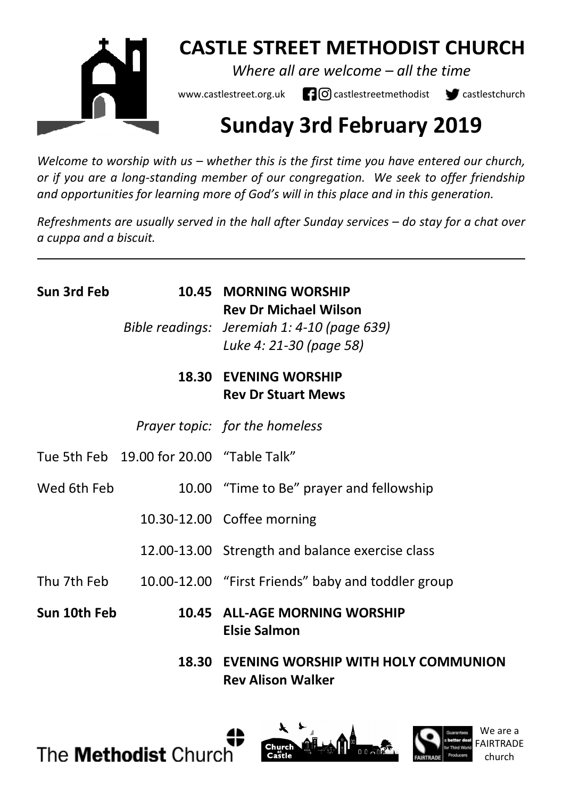

# **CASTLE STREET METHODIST CHURCH**

*Where all are welcome – all the time* 

www.castlestreet.org.uk  $\Box$  O castlestreetmethodist  $\Box$  castlestchurch

# **Sunday 3rd February 2019**

*Welcome to worship with us – whether this is the first time you have entered our church, or if you are a long-standing member of our congregation. We seek to offer friendship and opportunities for learning more of God's will in this place and in this generation.* 

*Refreshments are usually served in the hall after Sunday services – do stay for a chat over a cuppa and a biscuit.*

| Sun 3rd Feb  |                                          | 10.45 MORNING WORSHIP<br><b>Rev Dr Michael Wilson</b><br>Bible readings: Jeremiah 1: 4-10 (page 639)<br>Luke 4: 21-30 (page 58) |
|--------------|------------------------------------------|---------------------------------------------------------------------------------------------------------------------------------|
|              |                                          | <b>18.30 EVENING WORSHIP</b><br><b>Rev Dr Stuart Mews</b>                                                                       |
|              |                                          | Prayer topic: for the homeless                                                                                                  |
|              | Tue 5th Feb 19.00 for 20.00 "Table Talk" |                                                                                                                                 |
| Wed 6th Feb  |                                          | 10.00 "Time to Be" prayer and fellowship                                                                                        |
|              |                                          | 10.30-12.00 Coffee morning                                                                                                      |
|              |                                          | 12.00-13.00 Strength and balance exercise class                                                                                 |
|              |                                          | Thu 7th Feb 10.00-12.00 "First Friends" baby and toddler group                                                                  |
| Sun 10th Feb |                                          | 10.45 ALL-AGE MORNING WORSHIP<br>Elsie Salmon                                                                                   |
|              |                                          | 18.30 EVENING WORSHIP WITH HOLY COMMUNION<br><b>Rev Alison Walker</b>                                                           |





We are a FAIRTRADE church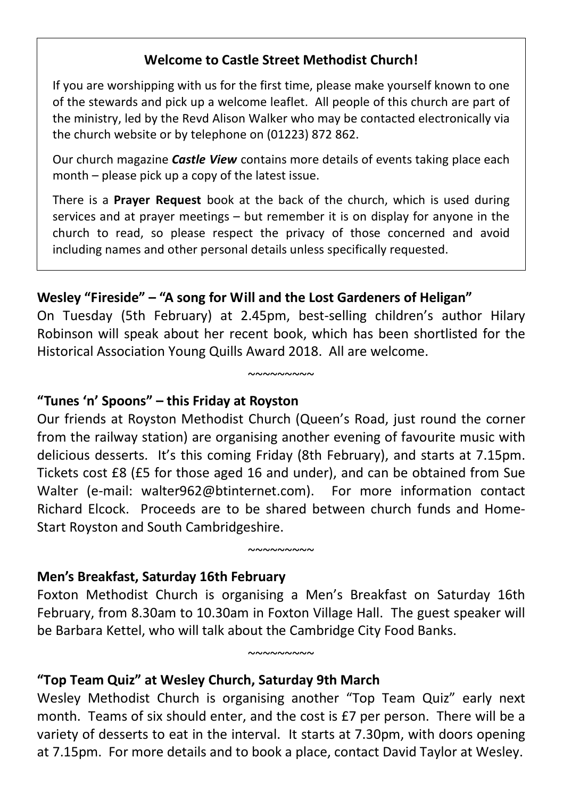#### **Welcome to Castle Street Methodist Church!**

If you are worshipping with us for the first time, please make yourself known to one of the stewards and pick up a welcome leaflet. All people of this church are part of the ministry, led by the Revd Alison Walker who may be contacted electronically via the church website or by telephone on (01223) 872 862.

Our church magazine *Castle View* contains more details of events taking place each month – please pick up a copy of the latest issue.

There is a **Prayer Request** book at the back of the church, which is used during services and at prayer meetings – but remember it is on display for anyone in the church to read, so please respect the privacy of those concerned and avoid including names and other personal details unless specifically requested.

## **Wesley "Fireside" – "A song for Will and the Lost Gardeners of Heligan"**

On Tuesday (5th February) at 2.45pm, best-selling children's author Hilary Robinson will speak about her recent book, which has been shortlisted for the Historical Association Young Quills Award 2018. All are welcome.

 $~\sim$ ~~~~~~~

#### **"Tunes 'n' Spoons" – this Friday at Royston**

Our friends at Royston Methodist Church (Queen's Road, just round the corner from the railway station) are organising another evening of favourite music with delicious desserts. It's this coming Friday (8th February), and starts at 7.15pm. Tickets cost £8 (£5 for those aged 16 and under), and can be obtained from Sue Walter (e-mail: walter962@btinternet.com). For more information contact Richard Elcock. Proceeds are to be shared between church funds and Home-Start Royston and South Cambridgeshire.

#### **Men's Breakfast, Saturday 16th February**

Foxton Methodist Church is organising a Men's Breakfast on Saturday 16th February, from 8.30am to 10.30am in Foxton Village Hall. The guest speaker will be Barbara Kettel, who will talk about the Cambridge City Food Banks.

 $~\sim$ ~~~~~~~

 $~\sim$   $\sim$   $\sim$   $\sim$   $\sim$   $\sim$ 

#### **"Top Team Quiz" at Wesley Church, Saturday 9th March**

Wesley Methodist Church is organising another "Top Team Quiz" early next month. Teams of six should enter, and the cost is £7 per person. There will be a variety of desserts to eat in the interval. It starts at 7.30pm, with doors opening at 7.15pm. For more details and to book a place, contact David Taylor at Wesley.